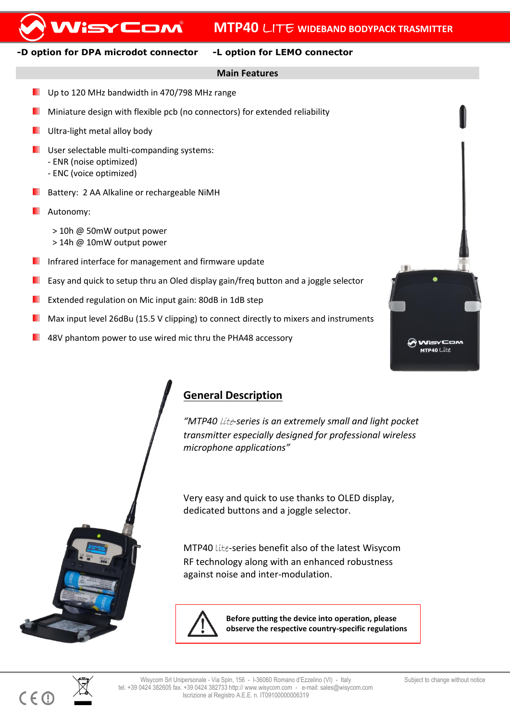# WisyCom

### **-D option for DPA microdot connector -L option for LEMO connector**

### **Main Features**

- ٠ Up to 120 MHz bandwidth in 470/798 MHz range
- Miniature design with flexible pcb (no connectors) for extended reliability
- Ultra-light metal alloy body
- **USER SEECTABLE MULTER COMPANDING SYSTEMS:** 
	- ENR (noise optimized)
	- ENC (voice optimized)
- **Battery: 2 AA Alkaline or rechargeable NiMH**
- **Autonomy:** 
	- > 10h @ 50mW output power
	- > 14h @ 10mW output power
- Infrared interface for management and firmware update
- Easy and quick to setup thru an Oled display gain/freq button and a joggle selector
- Extended regulation on Mic input gain: 80dB in 1dB step
- Max input level 26dBu (15.5 V clipping) to connect directly to mixers and instruments
- 48V phantom power to use wired mic thru the PHA48 accessory



## **General Description**

*"MTP40* lite*-series is an extremely small and light pocket transmitter especially designed for professional wireless microphone applications"*

Very easy and quick to use thanks to OLED display, dedicated buttons and a joggle selector.

MTP40 lite-series benefit also of the latest Wisycom RF technology along with an enhanced robustness against noise and inter-modulation.



**Before putting the device into operation, please observe the respective country-specific regulations**